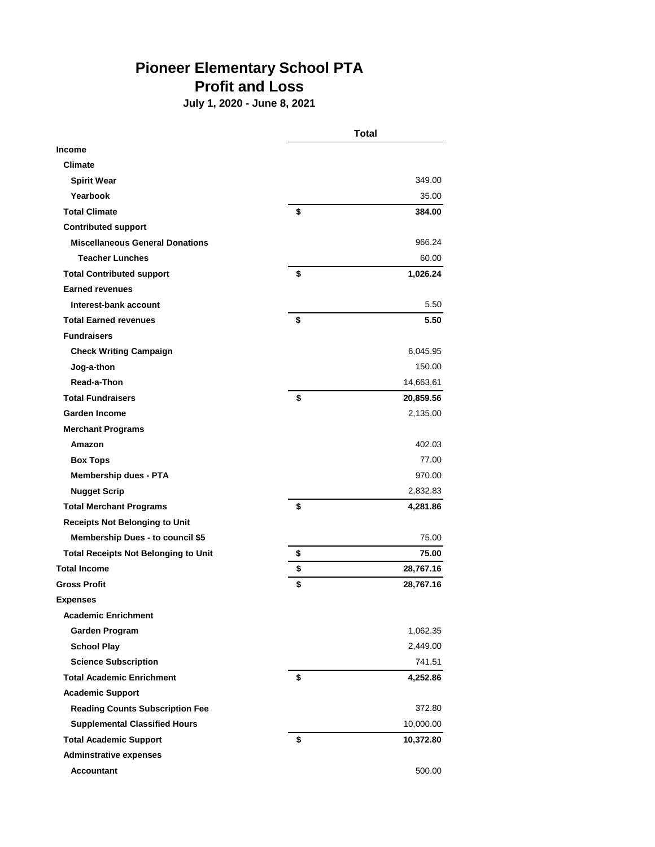## **Pioneer Elementary School PTA Profit and Loss**

**July 1, 2020 - June 8, 2021**

|                                             | <b>Total</b> |           |
|---------------------------------------------|--------------|-----------|
| <b>Income</b>                               |              |           |
| <b>Climate</b>                              |              |           |
| <b>Spirit Wear</b>                          |              | 349.00    |
| Yearbook                                    |              | 35.00     |
| <b>Total Climate</b>                        | \$           | 384.00    |
| <b>Contributed support</b>                  |              |           |
| <b>Miscellaneous General Donations</b>      |              | 966.24    |
| <b>Teacher Lunches</b>                      |              | 60.00     |
| <b>Total Contributed support</b>            | \$           | 1,026.24  |
| <b>Earned revenues</b>                      |              |           |
| Interest-bank account                       |              | 5.50      |
| <b>Total Earned revenues</b>                | \$           | 5.50      |
| <b>Fundraisers</b>                          |              |           |
| <b>Check Writing Campaign</b>               |              | 6,045.95  |
| Jog-a-thon                                  |              | 150.00    |
| Read-a-Thon                                 |              | 14,663.61 |
| <b>Total Fundraisers</b>                    | \$           | 20,859.56 |
| <b>Garden Income</b>                        |              | 2,135.00  |
| <b>Merchant Programs</b>                    |              |           |
| Amazon                                      |              | 402.03    |
| <b>Box Tops</b>                             |              | 77.00     |
| <b>Membership dues - PTA</b>                |              | 970.00    |
| <b>Nugget Scrip</b>                         |              | 2,832.83  |
| <b>Total Merchant Programs</b>              | \$           | 4,281.86  |
| <b>Receipts Not Belonging to Unit</b>       |              |           |
| <b>Membership Dues - to council \$5</b>     |              | 75.00     |
| <b>Total Receipts Not Belonging to Unit</b> | \$           | 75.00     |
| <b>Total Income</b>                         | \$           | 28,767.16 |
| <b>Gross Profit</b>                         | \$           | 28,767.16 |
| <b>Expenses</b>                             |              |           |
| <b>Academic Enrichment</b>                  |              |           |
| Garden Program                              |              | 1,062.35  |
| <b>School Play</b>                          |              | 2,449.00  |
| <b>Science Subscription</b>                 |              | 741.51    |
| <b>Total Academic Enrichment</b>            | \$           | 4,252.86  |
| <b>Academic Support</b>                     |              |           |
| <b>Reading Counts Subscription Fee</b>      |              | 372.80    |
| <b>Supplemental Classified Hours</b>        |              | 10,000.00 |
| <b>Total Academic Support</b>               | \$           | 10,372.80 |
| <b>Adminstrative expenses</b>               |              |           |
| <b>Accountant</b>                           |              | 500.00    |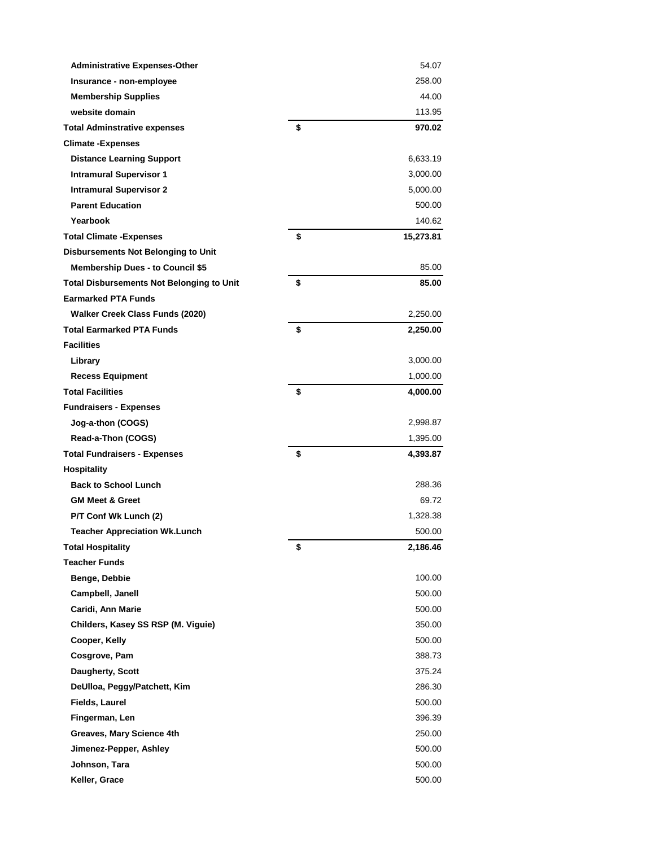| <b>Administrative Expenses-Other</b>             | 54.07           |
|--------------------------------------------------|-----------------|
| Insurance - non-employee                         | 258.00          |
| <b>Membership Supplies</b>                       | 44.00           |
| website domain                                   | 113.95          |
| <b>Total Adminstrative expenses</b>              | \$<br>970.02    |
| <b>Climate -Expenses</b>                         |                 |
| <b>Distance Learning Support</b>                 | 6,633.19        |
| <b>Intramural Supervisor 1</b>                   | 3,000.00        |
| <b>Intramural Supervisor 2</b>                   | 5,000.00        |
| <b>Parent Education</b>                          | 500.00          |
| Yearbook                                         | 140.62          |
| <b>Total Climate - Expenses</b>                  | \$<br>15,273.81 |
| <b>Disbursements Not Belonging to Unit</b>       |                 |
| <b>Membership Dues - to Council \$5</b>          | 85.00           |
| <b>Total Disbursements Not Belonging to Unit</b> | \$<br>85.00     |
| <b>Earmarked PTA Funds</b>                       |                 |
| Walker Creek Class Funds (2020)                  | 2,250.00        |
| <b>Total Earmarked PTA Funds</b>                 | \$<br>2,250.00  |
| <b>Facilities</b>                                |                 |
| Library                                          | 3,000.00        |
| <b>Recess Equipment</b>                          | 1,000.00        |
| <b>Total Facilities</b>                          | \$<br>4,000.00  |
| <b>Fundraisers - Expenses</b>                    |                 |
| Jog-a-thon (COGS)                                | 2,998.87        |
| Read-a-Thon (COGS)                               | 1,395.00        |
| <b>Total Fundraisers - Expenses</b>              | \$<br>4,393.87  |
| <b>Hospitality</b>                               |                 |
| <b>Back to School Lunch</b>                      | 288.36          |
| <b>GM Meet &amp; Greet</b>                       | 69.72           |
| P/T Conf Wk Lunch (2)                            | 1,328.38        |
| <b>Teacher Appreciation Wk.Lunch</b>             | 500.00          |
| <b>Total Hospitality</b>                         | \$<br>2,186.46  |
| <b>Teacher Funds</b>                             |                 |
| Benge, Debbie                                    | 100.00          |
| Campbell, Janell                                 | 500.00          |
| Caridi, Ann Marie                                | 500.00          |
| Childers, Kasey SS RSP (M. Viguie)               | 350.00          |
| Cooper, Kelly                                    | 500.00          |
| Cosgrove, Pam                                    | 388.73          |
| Daugherty, Scott                                 | 375.24          |
| DeUlloa, Peggy/Patchett, Kim                     | 286.30          |
| <b>Fields, Laurel</b>                            | 500.00          |
| Fingerman, Len                                   | 396.39          |
| Greaves, Mary Science 4th                        | 250.00          |
| Jimenez-Pepper, Ashley                           | 500.00          |
| Johnson, Tara                                    | 500.00          |
| Keller, Grace                                    | 500.00          |